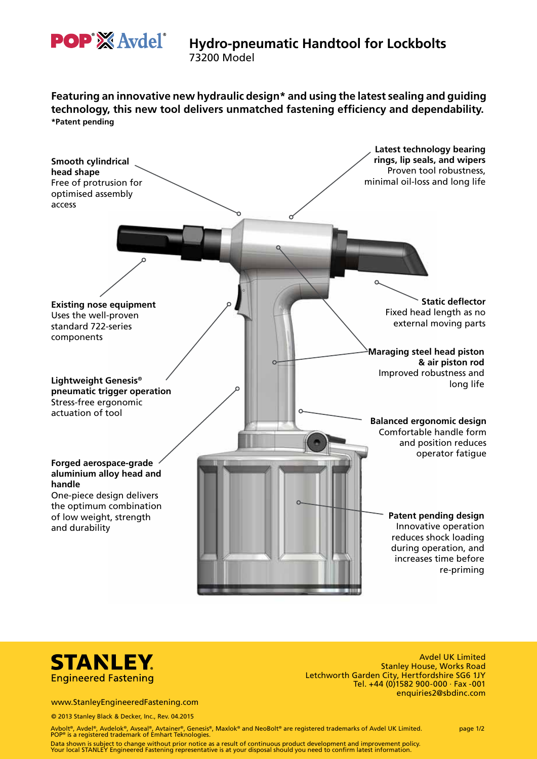

# **Hydro-pneumatic Handtool for Lockbolts**

73200 Model

**Featuring an innovative new hydraulic design\* and using the latest sealing and guiding technology, this new tool delivers unmatched fastening efficiency and dependability. \*Patent pending**





Avdel UK Limited Stanley House, Works Road Letchworth Garden City, Hertfordshire SG6 1JY Tel. +44 (0)1582 900-000  $\cdot$  Fax -001 enquiries2@sbdinc.com

www.StanleyEngineeredFastening.com

© 2013 Stanley Black & Decker, Inc., Rev. 04.2015

Avbolt®, Avdel®, Avdelok®, Avseal®, Avtainer®, Genesis®, Maxlok® and NeoBolt® are registered trademarks of Avdel UK Limited. page 1/2 POP® is a registered trademark of Emhart Teknologies.

Data shown is subject to change without prior notice as a result of continuous product development and improvement policy.<br>Your local STANLEY Engineered Fastening representative is at your disposal should you need to confi